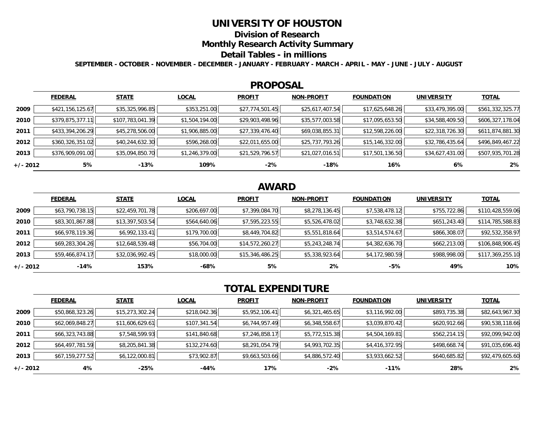## **UNIVERSITY OF HOUSTON**

**Division of Research**

### **Monthly Research Activity Summary**

#### **Detail Tables - in millions**

**SEPTEMBER - OCTOBER - NOVEMBER - DECEMBER - JANUARY - FEBRUARY - MARCH - APRIL - MAY - JUNE - JULY - AUGUST**

### **PROPOSAL**

|            | <b>FEDERAL</b>   | <b>STATE</b>     | <b>LOCAL</b>   | <b>PROFIT</b>   | <b>NON-PROFIT</b> | <b>FOUNDATION</b> | <b>UNIVERSITY</b> | <b>TOTAL</b>     |
|------------|------------------|------------------|----------------|-----------------|-------------------|-------------------|-------------------|------------------|
| 2009       | \$421,156,125.67 | \$35,325,996.85  | \$353,251.00   | \$27,774,501.45 | \$25,617,407.54   | \$17,625,648.26   | \$33,479,395.00   | \$561,332,325.77 |
| 2010       | \$379,875,377.11 | \$107,783,041.39 | \$1,504,194.00 | \$29,903,498.96 | \$35,577,003.58   | \$17,095,653.50   | \$34,588,409.50   | \$606,327,178.04 |
| 2011       | \$433,394,206.29 | \$45,278,506.00  | \$1,906,885.00 | \$27,339,476.40 | \$69,038,855.31   | \$12,598,226.00   | \$22,318,726.30   | \$611,874,881.30 |
| 2012       | \$360,326,351.02 | \$40,244,632.30  | \$596,268.00   | \$22,011,655.00 | \$25,737,793.26   | \$15,146,332.00   | \$32,786,435.64   | \$496,849,467.22 |
| 2013       | \$376,909,091.00 | \$35,094,850.70  | \$1,246,379.00 | \$21,529,796.57 | \$21,027,016.51   | \$17,501,136.50   | \$34,627,431.00   | \$507,935,701.28 |
| $+/- 2012$ | 5%               | -13%             | 109%           | $-2%$           | $-18%$            | 16%               | 6%                | 2%               |

# **AWARD**

|          | <b>FEDERAL</b>  | <b>STATE</b>    | <b>LOCAL</b> | <b>PROFIT</b>   | <b>NON-PROFIT</b> | <b>FOUNDATION</b> | <b>UNIVERSITY</b> | <u>TOTAL</u>     |
|----------|-----------------|-----------------|--------------|-----------------|-------------------|-------------------|-------------------|------------------|
| 2009     | \$63,790,738.15 | \$22,459,701.78 | \$206,697.00 | \$7,399,084.70  | \$8,278,136.45    | \$7,538,478.12    | \$755,722.86      | \$110,428,559.06 |
| 2010     | \$83,301,867.88 | \$13,397,503.54 | \$564,640.06 | \$7,595,223.55  | \$5,526,478.02    | \$3,748,632.38    | \$651,243.40      | \$114,785,588.83 |
| 2011     | \$66,978,119.36 | \$6,992,133.41  | \$179,700.00 | \$8,449,704.82  | \$5,551,818.64    | \$3,514,574.67    | \$866,308.07      | \$92,532,358.97  |
| 2012     | \$69,283,304.26 | \$12,648,539.48 | \$56,704.00  | \$14,572,260.27 | \$5,243,248.74    | \$4,382,636.70    | \$662,213.00      | \$106,848,906.45 |
| 2013     | \$59,466,874.17 | \$32,036,992.45 | \$18,000.00  | \$15,346,486.25 | \$5,338,923.64    | \$4,172,980.59    | \$988,998.00      | \$117,369,255.10 |
| +/- 2012 | $-14%$          | 153%            | -68%         | 5%              | $2\%$             | -5%               | 49%               | 10%              |

# **TOTAL EXPENDITURE**

|          | <b>FEDERAL</b>  | <b>STATE</b>    | <b>LOCAL</b> | <b>PROFIT</b>  | <b>NON-PROFIT</b> | <b>FOUNDATION</b> | <b>UNIVERSITY</b> | <b>TOTAL</b>    |
|----------|-----------------|-----------------|--------------|----------------|-------------------|-------------------|-------------------|-----------------|
| 2009     | \$50,868,323.26 | \$15,273,302.24 | \$218,042.36 | \$5,952,106.41 | \$6,321,465.65    | \$3,116,992.00    | \$893,735.38      | \$82,643,967.30 |
| 2010     | \$62,069,848.27 | \$11,606,629.61 | \$107,341.54 | \$6,744,957.49 | \$6,348,558.67    | \$3,039,870.42    | \$620,912.66      | \$90,538,118.66 |
| 2011     | \$66,323,743.88 | \$7,548,599.93  | \$141,840.68 | \$7,246,858.17 | \$5,772,515.38    | \$4,504,169.81    | \$562,214.15      | \$92,099,942.00 |
| 2012     | \$64,497,781.59 | \$8,205,841.38  | \$132,274.60 | \$8,291,054.79 | \$4,993,702.35    | \$4,416,372.95    | \$498,668.74      | \$91,035,696.40 |
| 2013     | \$67,159,277.52 | \$6,122,000.81  | \$73,902.87  | \$9,663,503.66 | \$4,886,572.40    | \$3,933,662.52    | \$640,685.82      | \$92,479,605.60 |
| +/- 2012 | 4%              | $-25%$          | -44%         | 17%            | $-2%$             | $-11%$            | 28%               | $2\%$           |